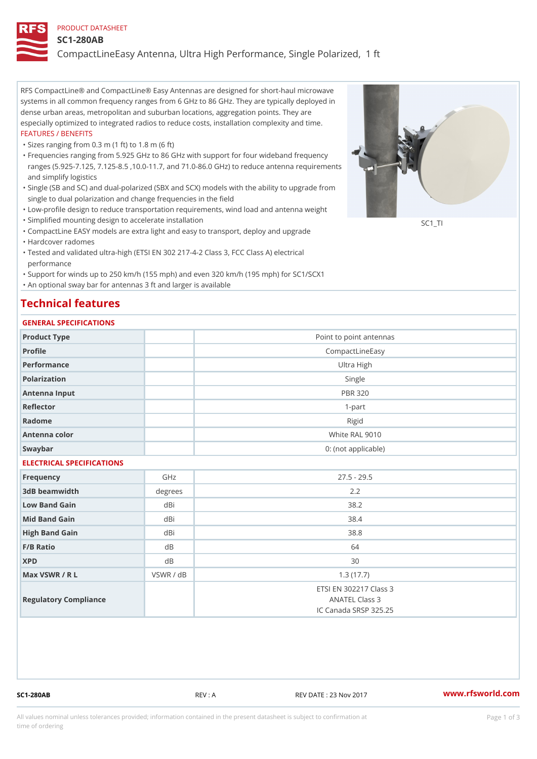#### PRODUCT DATASHEET

#### SC1-280AB

CompactLineEasy Antenna, Ultra High Performance, Single Polarized,

RFS CompactLine® and CompactLine® Easy Antennas are designed for short-haul microwave systems in all common frequency ranges from 6 GHz to 86 GHz. They are typically deployed in dense urban areas, metropolitan and suburban locations, aggregation points. They are especially optimized to integrated radios to reduce costs, installation complexity and time. FEATURES / BENEFITS

"Sizes ranging from 0.3 m (1 ft) to 1.8 m (6 ft)

- Frequencies ranging from 5.925 GHz to 86 GHz with support for four wideband frequency " ranges (5.925-7.125, 7.125-8.5 ,10.0-11.7, and 71.0-86.0 GHz) to reduce antenna requirements and simplify logistics
- Single (SB and SC) and dual-polarized (SBX and SCX) models with the ability to upgrade from " single to dual polarization and change frequencies in the field
- "Low-profile design to reduce transportation requirements, wind load and antenna weight
- "Simplified mounting design to accelerate installation

 "CompactLine EASY models are extra light and easy to transport, deploy and upgrade "Hardcover radomes

Tested and validated ultra-high (ETSI EN 302 217-4-2 Class 3, FCC Class A) electrical " performance

 "Support for winds up to 250 km/h (155 mph) and even 320 km/h (195 mph) for SC1/SCX1 "An optional sway bar for antennas 3 ft and larger is available

## Technical features

### GENERAL SPECIFICATIONS

| GENERAL SPECIFICATIONS    |                |                                                                   |  |  |  |  |
|---------------------------|----------------|-------------------------------------------------------------------|--|--|--|--|
| Product Type              |                | Point to point antennas                                           |  |  |  |  |
| Profile                   |                | CompactLineEasy                                                   |  |  |  |  |
| Performance               | Ultra High     |                                                                   |  |  |  |  |
| Polarization              |                | Single                                                            |  |  |  |  |
| Antenna Input             |                | <b>PBR 320</b>                                                    |  |  |  |  |
| Reflector                 |                | $1 - p$ art                                                       |  |  |  |  |
| Radome                    |                | Rigid                                                             |  |  |  |  |
| Antenna color             |                | White RAL 9010                                                    |  |  |  |  |
| Swaybar                   |                | 0: (not applicable)                                               |  |  |  |  |
| ELECTRICAL SPECIFICATIONS |                |                                                                   |  |  |  |  |
| Frequency                 | GHz            | $27.5 - 29.5$                                                     |  |  |  |  |
| 3dB beamwidth             | degree:<br>2.2 |                                                                   |  |  |  |  |
| Low Band Gain             | dBi            | 38.2                                                              |  |  |  |  |
| Mid Band Gain             | dBi            | 38.4                                                              |  |  |  |  |
| High Band Gain            | dBi            | 38.8                                                              |  |  |  |  |
| F/B Ratio                 | d <sub>B</sub> | 64                                                                |  |  |  |  |
| <b>XPD</b>                | d B            | 30                                                                |  |  |  |  |
| Max VSWR / R L            | VSWR / dB      | 1.3(17.7)                                                         |  |  |  |  |
| Regulatory Compliance     |                | ETSI EN 302217 Class 3<br>ANATEL Class 3<br>IC Canada SRSP 325.25 |  |  |  |  |

SC1-280AB REV : A REV DATE : 23 Nov 2017 [www.](https://www.rfsworld.com)rfsworld.com

SC<sub>1</sub>TI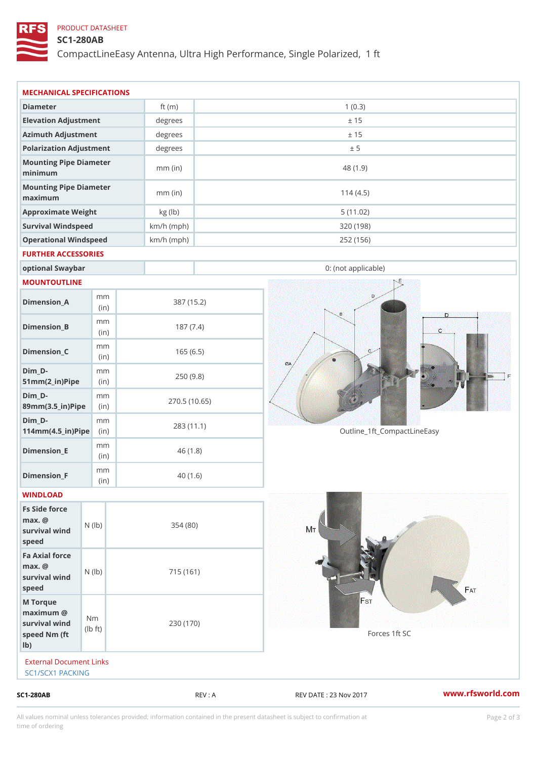## PRODUCT DATASHEET

# SC1-280AB

CompactLineEasy Antenna, Ultra High Performance, Single Polarized,

| $SC1 - 280AB$                                                      |                                    |              | REV : A      | REV DATE : 23 Nov 2017      | www.rfsworld.co |
|--------------------------------------------------------------------|------------------------------------|--------------|--------------|-----------------------------|-----------------|
| External Document Links<br>SC1/SCX1 PACKING                        |                                    |              |              |                             |                 |
| M Torque<br>$maximum$ @<br>survival wind<br>speed Nm (ft<br>$1b$ ) | N <sub>m</sub><br>$\pm t$ )<br>l b | 230 (170)    |              | Forces 1ft SC               |                 |
| Fa Axial force<br>$max.$ @<br>survival wind (1b)<br>speed          |                                    | 715 (161)    |              |                             |                 |
| Fs Side force<br>$max.$ @<br>survival wind (1b)<br>speed           |                                    | 354(80)      |              |                             |                 |
| WINDLOAD                                                           |                                    |              |              |                             |                 |
| $Dimension_F$                                                      | m m<br>(in)                        |              | 40(1.6)      |                             |                 |
| $Dimension$ _ $E$                                                  | m m<br>(in)                        |              | 46(1.8)      |                             |                 |
| $Dim_D - D -$<br>$114$ m m (4.5 _ ir ) $\sqrt{$ ii p $\sqrt{ }$    | m m                                |              | 283 (11.1)   | Outline_1ft_CompactLineEasy |                 |
| $Dim_D - D -$<br>89mm (3.5_in) Pi(pine)                            | m m                                |              | 270.5(10.65) |                             |                 |
| $Dim_D -$<br>$51mm(2_in)Pip@in$                                    | m m                                |              | 250(9.8)     |                             |                 |
| $Dimension_C$                                                      | m m<br>(in)                        |              | 165(6.5)     |                             |                 |
| $Dimension_B$                                                      | m m<br>(in)                        |              | 187(7.4)     |                             |                 |
| $Dimension_A$                                                      | m m<br>(in)                        |              | 387 (15.2)   |                             |                 |
| MOUNTOUTLINE                                                       |                                    |              |              |                             |                 |
| optional Swaybar                                                   |                                    |              |              | 0: (not applicable)         |                 |
| FURTHER ACCESSORIES                                                |                                    |              |              |                             |                 |
| Operational Windspeed                                              |                                    | $km/h$ (mph) |              | 252 (156)                   |                 |
| Survival Windspeed                                                 |                                    | $km/h$ (mph) |              | 320 (198)                   |                 |
| maximum<br>Approximate Weight                                      |                                    | kg (lb)      |              | 5(11.02)                    |                 |
| minimum<br>Mounting Pipe Diameter                                  |                                    | $mm$ (in)    |              | 114(4.5)                    |                 |
| Mounting Pipe Diameter                                             |                                    | $mm$ (in)    |              | 48 (1.9)                    |                 |
| Polarization Adjustment                                            |                                    | degrees      |              | ± 5                         |                 |
| Azimuth Adjustment                                                 |                                    | degrees      |              | ± 15                        |                 |
| Elevation Adjustment                                               |                                    | degrees      |              | ± 15                        |                 |
| Diameter                                                           |                                    | ft $(m)$     |              | 1(0.3)                      |                 |

All values nominal unless tolerances provided; information contained in the present datasheet is subject to Pcapgelio an atio time of ordering